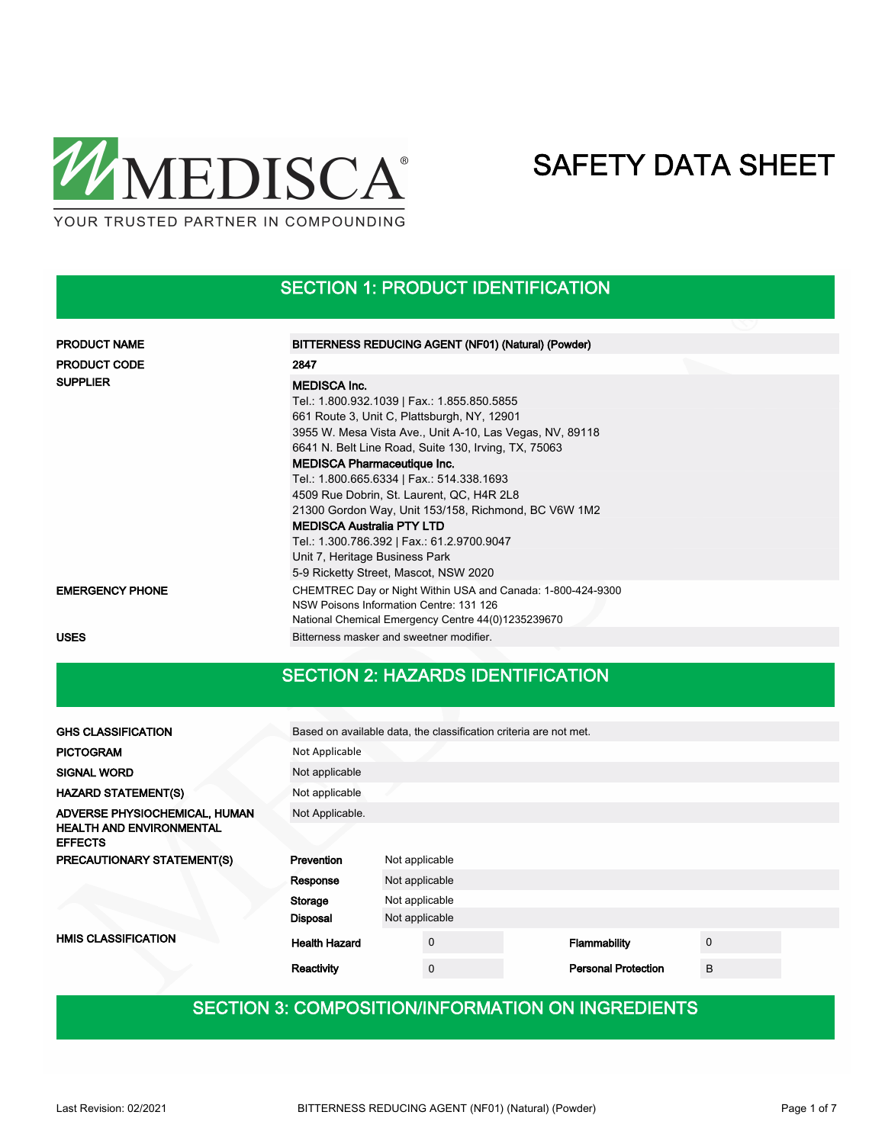

### SECTION 1: PRODUCT IDENTIFICATION

| <b>PRODUCT NAME</b>    | BITTERNESS REDUCING AGENT (NF01) (Natural) (Powder)                                                                                                                                                                                                                                                                                                                                                                                                                                                                                                                                        |
|------------------------|--------------------------------------------------------------------------------------------------------------------------------------------------------------------------------------------------------------------------------------------------------------------------------------------------------------------------------------------------------------------------------------------------------------------------------------------------------------------------------------------------------------------------------------------------------------------------------------------|
| <b>PRODUCT CODE</b>    | 2847                                                                                                                                                                                                                                                                                                                                                                                                                                                                                                                                                                                       |
| <b>SUPPLIER</b>        | <b>MEDISCA Inc.</b><br>Tel.: 1.800.932.1039   Fax.: 1.855.850.5855<br>661 Route 3, Unit C, Plattsburgh, NY, 12901<br>3955 W. Mesa Vista Ave., Unit A-10, Las Vegas, NV, 89118<br>6641 N. Belt Line Road, Suite 130, Irving, TX, 75063<br><b>MEDISCA Pharmaceutique Inc.</b><br>Tel.: 1.800.665.6334   Fax.: 514.338.1693<br>4509 Rue Dobrin, St. Laurent, QC, H4R 2L8<br>21300 Gordon Way, Unit 153/158, Richmond, BC V6W 1M2<br><b>MEDISCA Australia PTY LTD</b><br>Tel.: 1.300.786.392   Fax.: 61.2.9700.9047<br>Unit 7, Heritage Business Park<br>5-9 Ricketty Street, Mascot, NSW 2020 |
| <b>EMERGENCY PHONE</b> | CHEMTREC Day or Night Within USA and Canada: 1-800-424-9300<br>NSW Poisons Information Centre: 131 126<br>National Chemical Emergency Centre 44(0)1235239670                                                                                                                                                                                                                                                                                                                                                                                                                               |
| <b>USES</b>            | Bitterness masker and sweetner modifier.                                                                                                                                                                                                                                                                                                                                                                                                                                                                                                                                                   |

### SECTION 2: HAZARDS IDENTIFICATION

| <b>GHS CLASSIFICATION</b>                         | Based on available data, the classification criteria are not met. |                |             |  |                            |   |  |  |
|---------------------------------------------------|-------------------------------------------------------------------|----------------|-------------|--|----------------------------|---|--|--|
| <b>PICTOGRAM</b>                                  | Not Applicable                                                    |                |             |  |                            |   |  |  |
| <b>SIGNAL WORD</b>                                | Not applicable                                                    |                |             |  |                            |   |  |  |
| <b>HAZARD STATEMENT(S)</b>                        | Not applicable                                                    |                |             |  |                            |   |  |  |
| ADVERSE PHYSIOCHEMICAL, HUMAN                     | Not Applicable.                                                   |                |             |  |                            |   |  |  |
| <b>HEALTH AND ENVIRONMENTAL</b><br><b>EFFECTS</b> |                                                                   |                |             |  |                            |   |  |  |
| <b>PRECAUTIONARY STATEMENT(S)</b>                 | Prevention<br>Not applicable                                      |                |             |  |                            |   |  |  |
|                                                   | Not applicable<br>Response                                        |                |             |  |                            |   |  |  |
|                                                   | Storage                                                           | Not applicable |             |  |                            |   |  |  |
|                                                   | <b>Disposal</b>                                                   | Not applicable |             |  |                            |   |  |  |
| <b>HMIS CLASSIFICATION</b>                        | <b>Health Hazard</b>                                              |                | $\mathbf 0$ |  | Flammability               | 0 |  |  |
|                                                   | Reactivity                                                        |                | $\Omega$    |  | <b>Personal Protection</b> | B |  |  |

## SECTION 3: COMPOSITION/INFORMATION ON INGREDIENTS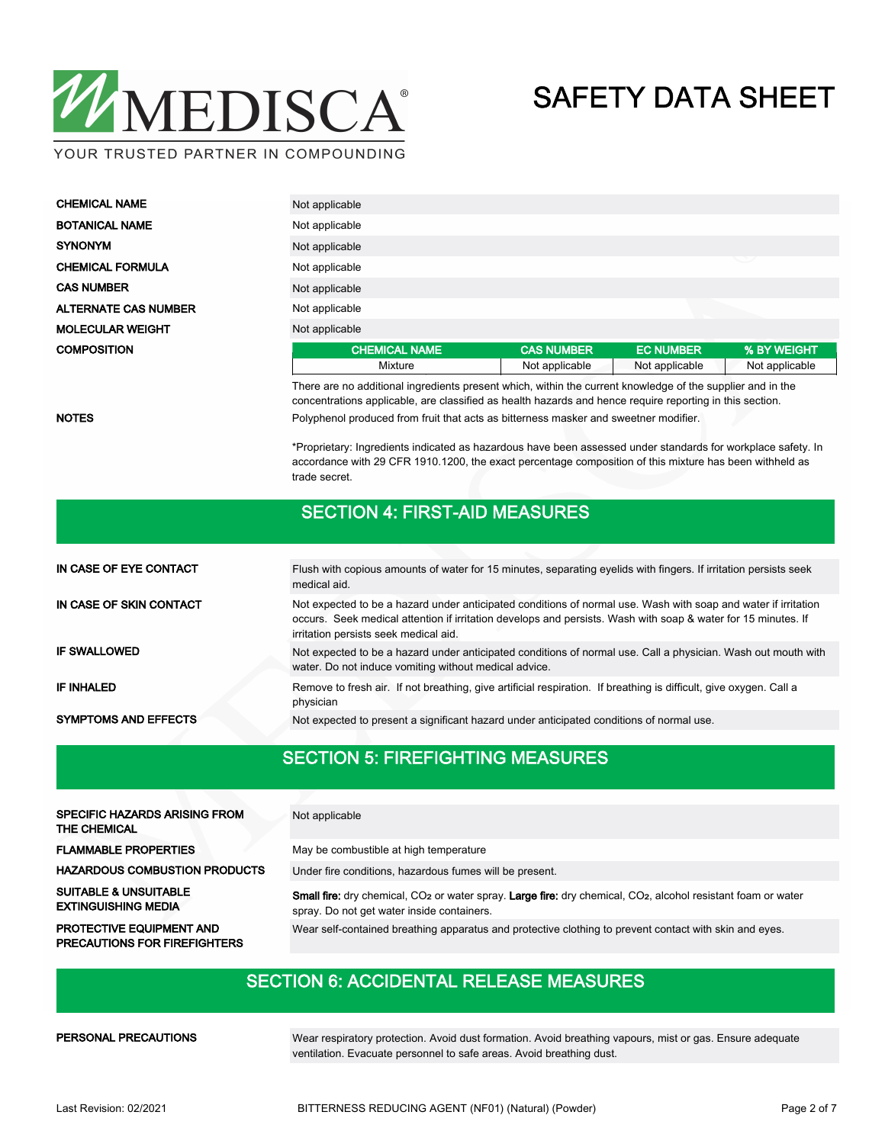

| <b>CHEMICAL NAME</b>        | Not applicable       |                   |                  |                |  |  |  |  |
|-----------------------------|----------------------|-------------------|------------------|----------------|--|--|--|--|
| <b>BOTANICAL NAME</b>       | Not applicable       |                   |                  |                |  |  |  |  |
| <b>SYNONYM</b>              | Not applicable       |                   |                  |                |  |  |  |  |
| <b>CHEMICAL FORMULA</b>     | Not applicable       | ╰                 |                  |                |  |  |  |  |
| <b>CAS NUMBER</b>           | Not applicable       |                   |                  |                |  |  |  |  |
| <b>ALTERNATE CAS NUMBER</b> | Not applicable       |                   |                  |                |  |  |  |  |
| <b>MOLECULAR WEIGHT</b>     | Not applicable       |                   |                  |                |  |  |  |  |
| <b>COMPOSITION</b>          | <b>CHEMICAL NAME</b> | <b>CAS NUMBER</b> | <b>EC NUMBER</b> | % BY WEIGHT    |  |  |  |  |
|                             | Mixture              | Not applicable    | Not applicable   | Not applicable |  |  |  |  |

There are no additional ingredients present which, within the current knowledge of the supplier and in the concentrations applicable, are classified as health hazards and hence require reporting in this section.

NOTES **Polyphenol produced from fruit that acts as bitterness masker and sweetner modifier.** 

\*Proprietary: Ingredients indicated as hazardous have been assessed under standards for workplace safety. In accordance with 29 CFR 1910.1200, the exact percentage composition of this mixture has been withheld as trade secret.

#### SECTION 4: FIRST-AID MEASURES

| IN CASE OF EYE CONTACT      | Flush with copious amounts of water for 15 minutes, separating eyelids with fingers. If irritation persists seek<br>medical aid.                                                                                                                                         |  |  |  |  |  |
|-----------------------------|--------------------------------------------------------------------------------------------------------------------------------------------------------------------------------------------------------------------------------------------------------------------------|--|--|--|--|--|
| IN CASE OF SKIN CONTACT     | Not expected to be a hazard under anticipated conditions of normal use. Wash with soap and water if irritation<br>occurs. Seek medical attention if irritation develops and persists. Wash with soap & water for 15 minutes. If<br>irritation persists seek medical aid. |  |  |  |  |  |
| <b>IF SWALLOWED</b>         | Not expected to be a hazard under anticipated conditions of normal use. Call a physician. Wash out mouth with<br>water. Do not induce vomiting without medical advice.                                                                                                   |  |  |  |  |  |
| IF INHALED                  | Remove to fresh air. If not breathing, give artificial respiration. If breathing is difficult, give oxygen. Call a<br>physician                                                                                                                                          |  |  |  |  |  |
| <b>SYMPTOMS AND EFFECTS</b> | Not expected to present a significant hazard under anticipated conditions of normal use.                                                                                                                                                                                 |  |  |  |  |  |

#### SECTION 5: FIREFIGHTING MEASURES

| <b>SPECIFIC HAZARDS ARISING FROM</b><br><b>THE CHEMICAL</b>            | Not applicable                                                                                                                                                                      |
|------------------------------------------------------------------------|-------------------------------------------------------------------------------------------------------------------------------------------------------------------------------------|
| <b>FLAMMABLE PROPERTIES</b>                                            | May be combustible at high temperature                                                                                                                                              |
| <b>HAZARDOUS COMBUSTION PRODUCTS</b>                                   | Under fire conditions, hazardous fumes will be present.                                                                                                                             |
| <b>SUITABLE &amp; UNSUITABLE</b><br><b>EXTINGUISHING MEDIA</b>         | Small fire: dry chemical, CO <sub>2</sub> or water spray. Large fire: dry chemical, CO <sub>2</sub> , alcohol resistant foam or water<br>spray. Do not get water inside containers. |
| <b>PROTECTIVE EQUIPMENT AND</b><br><b>PRECAUTIONS FOR FIREFIGHTERS</b> | Wear self-contained breathing apparatus and protective clothing to prevent contact with skin and eyes.                                                                              |

### SECTION 6: ACCIDENTAL RELEASE MEASURES

PERSONAL PRECAUTIONS

Wear respiratory protection. Avoid dust formation. Avoid breathing vapours, mist or gas. Ensure adequate ventilation. Evacuate personnel to safe areas. Avoid breathing dust.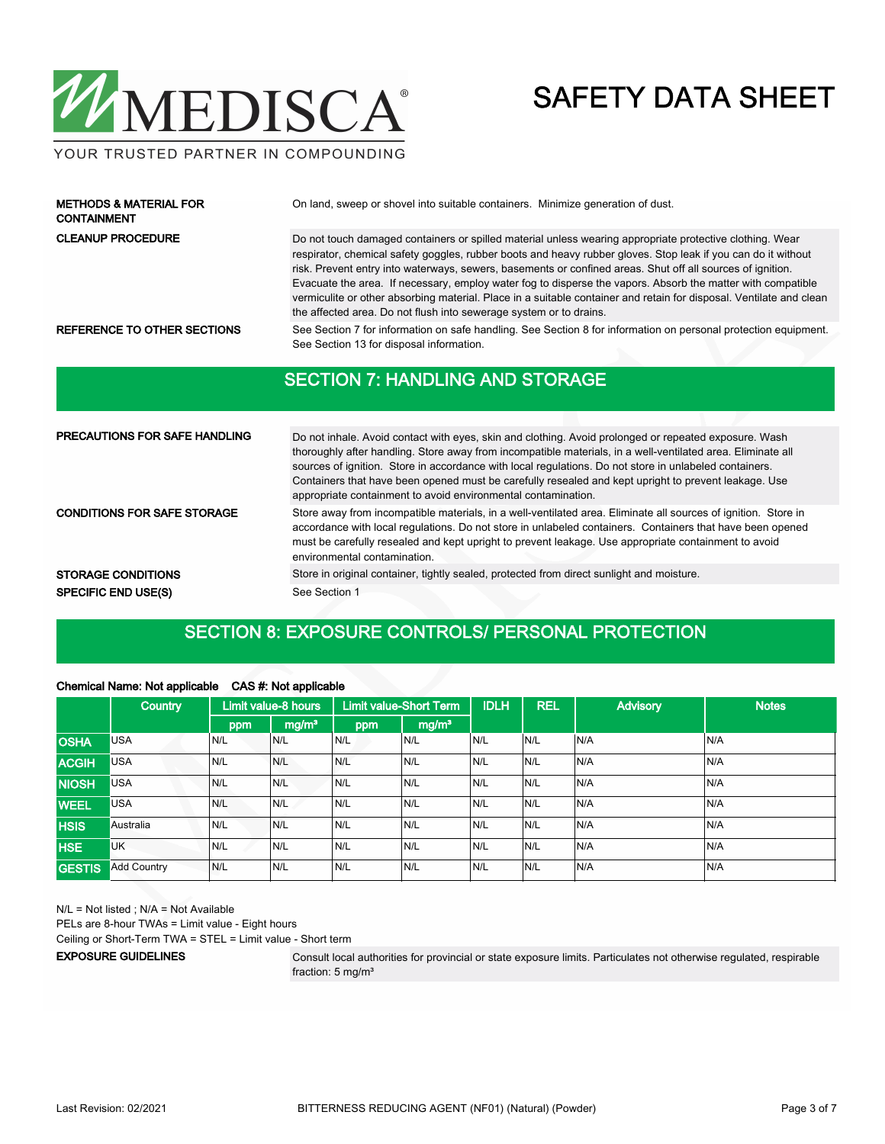

#### YOUR TRUSTED PARTNER IN COMPOUNDING

| <b>METHODS &amp; MATERIAL FOR</b><br><b>CONTAINMENT</b> | On land, sweep or shovel into suitable containers. Minimize generation of dust.                                                                                                                                                                                                                                                                                                                                                                                                                                                                                                                                                                     |
|---------------------------------------------------------|-----------------------------------------------------------------------------------------------------------------------------------------------------------------------------------------------------------------------------------------------------------------------------------------------------------------------------------------------------------------------------------------------------------------------------------------------------------------------------------------------------------------------------------------------------------------------------------------------------------------------------------------------------|
| <b>CLEANUP PROCEDURE</b>                                | Do not touch damaged containers or spilled material unless wearing appropriate protective clothing. Wear<br>respirator, chemical safety goggles, rubber boots and heavy rubber gloves. Stop leak if you can do it without<br>risk. Prevent entry into waterways, sewers, basements or confined areas. Shut off all sources of ignition.<br>Evacuate the area. If necessary, employ water fog to disperse the vapors. Absorb the matter with compatible<br>vermiculite or other absorbing material. Place in a suitable container and retain for disposal. Ventilate and clean<br>the affected area. Do not flush into sewerage system or to drains. |
| REFERENCE TO OTHER SECTIONS                             | See Section 7 for information on safe handling. See Section 8 for information on personal protection equipment.<br>See Section 13 for disposal information.                                                                                                                                                                                                                                                                                                                                                                                                                                                                                         |
|                                                         | <b>SECTION 7: HANDLING AND STORAGE</b>                                                                                                                                                                                                                                                                                                                                                                                                                                                                                                                                                                                                              |

| <b>PRECAUTIONS FOR SAFE HANDLING</b> | Do not inhale. Avoid contact with eyes, skin and clothing. Avoid prolonged or repeated exposure. Wash<br>thoroughly after handling. Store away from incompatible materials, in a well-ventilated area. Eliminate all<br>sources of ignition. Store in accordance with local regulations. Do not store in unlabeled containers.<br>Containers that have been opened must be carefully resealed and kept upright to prevent leakage. Use<br>appropriate containment to avoid environmental contamination. |  |  |  |  |  |
|--------------------------------------|---------------------------------------------------------------------------------------------------------------------------------------------------------------------------------------------------------------------------------------------------------------------------------------------------------------------------------------------------------------------------------------------------------------------------------------------------------------------------------------------------------|--|--|--|--|--|
| <b>CONDITIONS FOR SAFE STORAGE</b>   | Store away from incompatible materials, in a well-ventilated area. Eliminate all sources of ignition. Store in<br>accordance with local regulations. Do not store in unlabeled containers. Containers that have been opened<br>must be carefully resealed and kept upright to prevent leakage. Use appropriate containment to avoid<br>environmental contamination.                                                                                                                                     |  |  |  |  |  |
| <b>STORAGE CONDITIONS</b>            | Store in original container, tightly sealed, protected from direct sunlight and moisture.                                                                                                                                                                                                                                                                                                                                                                                                               |  |  |  |  |  |
| <b>SPECIFIC END USE(S)</b>           | See Section 1                                                                                                                                                                                                                                                                                                                                                                                                                                                                                           |  |  |  |  |  |

### SECTION 8: EXPOSURE CONTROLS/ PERSONAL PROTECTION

|               | Country            |      | Limit value-8 hours |     | <b>Limit value-Short Term</b> | <b>IDLH</b> | <b>REL</b> | <b>Advisory</b> | <b>Notes</b> |
|---------------|--------------------|------|---------------------|-----|-------------------------------|-------------|------------|-----------------|--------------|
|               |                    | ppm  | mg/m <sup>3</sup>   | ppm | mg/m <sup>3</sup>             |             |            |                 |              |
| <b>OSHA</b>   | <b>USA</b>         | N/L  | N/L                 | N/L | N/L                           | N/L         | N/L        | N/A             | N/A          |
| <b>ACGIH</b>  | <b>USA</b>         | N/L  | N/L                 | N/L | N/L                           | N/L         | N/L        | N/A             | N/A          |
| <b>NIOSH</b>  | <b>USA</b>         | N/L  | N/L                 | N/L | N/L                           | IN/L        | N/L        | N/A             | N/A          |
| <b>WEEL</b>   | <b>USA</b>         | N/L  | N/L                 | N/L | N/L                           | N/L         | N/L        | N/A             | N/A          |
| <b>HSIS</b>   | Australia          | N/L  | N/L                 | N/L | N/L                           | N/L         | N/L        | N/A             | N/A          |
| <b>HSE</b>    | <b>UK</b>          | IN/L | N/L                 | N/L | N/L                           | N/L         | N/L        | N/A             | N/A          |
| <b>GESTIS</b> | <b>Add Country</b> | N/L  | N/L                 | N/L | N/L                           | N/L         | N/L        | N/A             | N/A          |

#### Chemical Name: Not applicable CAS #: Not applicable

N/L = Not listed ; N/A = Not Available PELs are 8-hour TWAs = Limit value - Eight hours Ceiling or Short-Term TWA = STEL = Limit value - Short term EXPOSURE GUIDELINES

Consult local authorities for provincial or state exposure limits. Particulates not otherwise regulated, respirable fraction: 5 mg/m<sup>3</sup>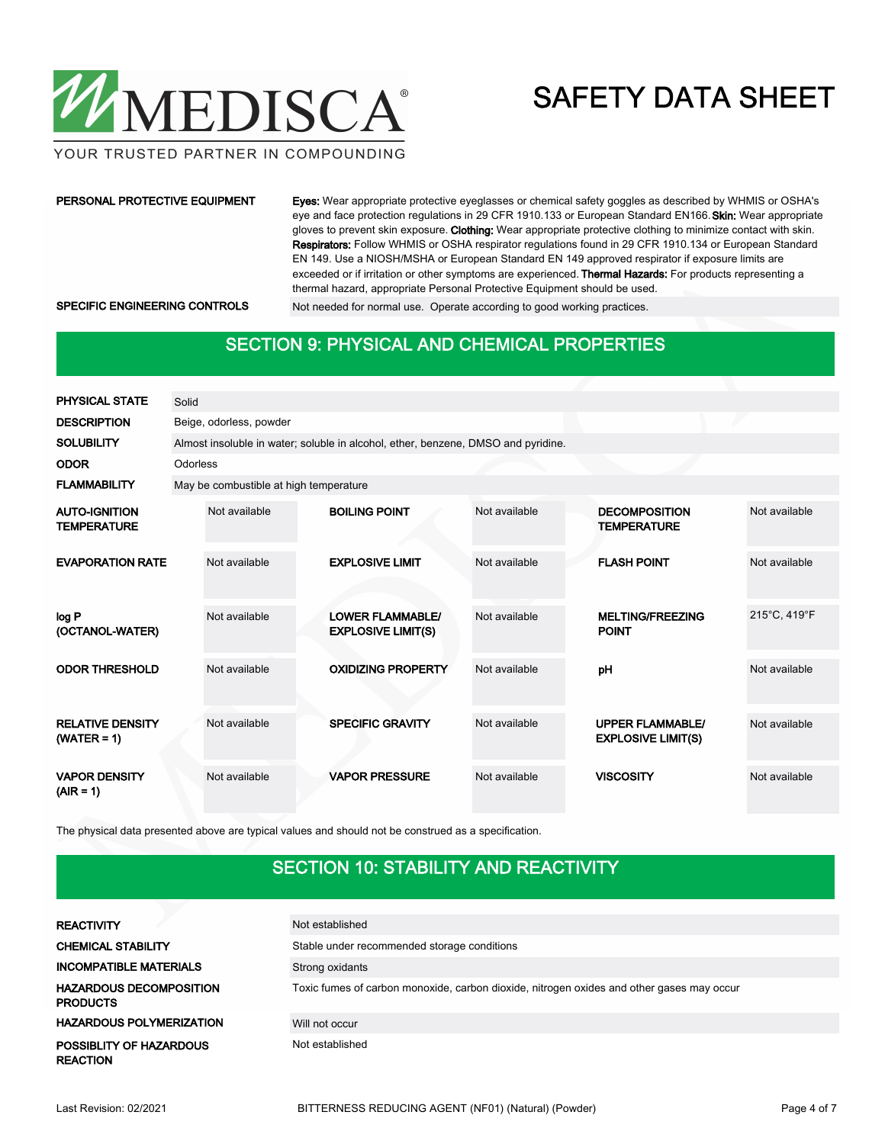

YOUR TRUSTED PARTNER IN COMPOUNDING

#### PERSONAL PROTECTIVE EQUIPMENT

Eyes: Wear appropriate protective eyeglasses or chemical safety goggles as described by WHMIS or OSHA's eye and face protection regulations in 29 CFR 1910.133 or European Standard EN166. Skin: Wear appropriate gloves to prevent skin exposure. Clothing: Wear appropriate protective clothing to minimize contact with skin. Respirators: Follow WHMIS or OSHA respirator regulations found in 29 CFR 1910.134 or European Standard EN 149. Use a NIOSH/MSHA or European Standard EN 149 approved respirator if exposure limits are exceeded or if irritation or other symptoms are experienced. Thermal Hazards: For products representing a thermal hazard, appropriate Personal Protective Equipment should be used. SPECIFIC ENGINEERING CONTROLS Not needed for normal use. Operate according to good working practices.

#### SECTION 9: PHYSICAL AND CHEMICAL PROPERTIES

| <b>PHYSICAL STATE</b>                      | Solid    |                                        |  |                                                                                   |               |  |                                                      |               |  |  |
|--------------------------------------------|----------|----------------------------------------|--|-----------------------------------------------------------------------------------|---------------|--|------------------------------------------------------|---------------|--|--|
| <b>DESCRIPTION</b>                         |          | Beige, odorless, powder                |  |                                                                                   |               |  |                                                      |               |  |  |
| <b>SOLUBILITY</b>                          |          |                                        |  | Almost insoluble in water; soluble in alcohol, ether, benzene, DMSO and pyridine. |               |  |                                                      |               |  |  |
| <b>ODOR</b>                                | Odorless |                                        |  |                                                                                   |               |  |                                                      |               |  |  |
| <b>FLAMMABILITY</b>                        |          | May be combustible at high temperature |  |                                                                                   |               |  |                                                      |               |  |  |
| <b>AUTO-IGNITION</b><br><b>TEMPERATURE</b> |          | Not available                          |  | <b>BOILING POINT</b>                                                              | Not available |  | <b>DECOMPOSITION</b><br><b>TEMPERATURE</b>           | Not available |  |  |
| <b>EVAPORATION RATE</b>                    |          | Not available                          |  | <b>EXPLOSIVE LIMIT</b>                                                            | Not available |  | <b>FLASH POINT</b>                                   | Not available |  |  |
| log P<br>(OCTANOL-WATER)                   |          | Not available                          |  | <b>LOWER FLAMMABLE/</b><br><b>EXPLOSIVE LIMIT(S)</b>                              | Not available |  | <b>MELTING/FREEZING</b><br><b>POINT</b>              | 215°C, 419°F  |  |  |
| <b>ODOR THRESHOLD</b>                      |          | Not available                          |  | <b>OXIDIZING PROPERTY</b>                                                         | Not available |  | pH                                                   | Not available |  |  |
| <b>RELATIVE DENSITY</b><br>$(WATER = 1)$   |          | Not available                          |  | <b>SPECIFIC GRAVITY</b>                                                           | Not available |  | <b>UPPER FLAMMABLE/</b><br><b>EXPLOSIVE LIMIT(S)</b> | Not available |  |  |
| <b>VAPOR DENSITY</b><br>$(AIR = 1)$        |          | Not available                          |  | <b>VAPOR PRESSURE</b>                                                             | Not available |  | <b>VISCOSITY</b>                                     | Not available |  |  |

The physical data presented above are typical values and should not be construed as a specification.

### SECTION 10: STABILITY AND REACTIVITY

| <b>REACTIVITY</b>                                 | Not established                                                                           |
|---------------------------------------------------|-------------------------------------------------------------------------------------------|
| <b>CHEMICAL STABILITY</b>                         | Stable under recommended storage conditions                                               |
| <b>INCOMPATIBLE MATERIALS</b>                     | Strong oxidants                                                                           |
| <b>HAZARDOUS DECOMPOSITION</b><br><b>PRODUCTS</b> | Toxic fumes of carbon monoxide, carbon dioxide, nitrogen oxides and other gases may occur |
| <b>HAZARDOUS POLYMERIZATION</b>                   | Will not occur                                                                            |
| POSSIBLITY OF HAZARDOUS<br>REACTION               | Not established                                                                           |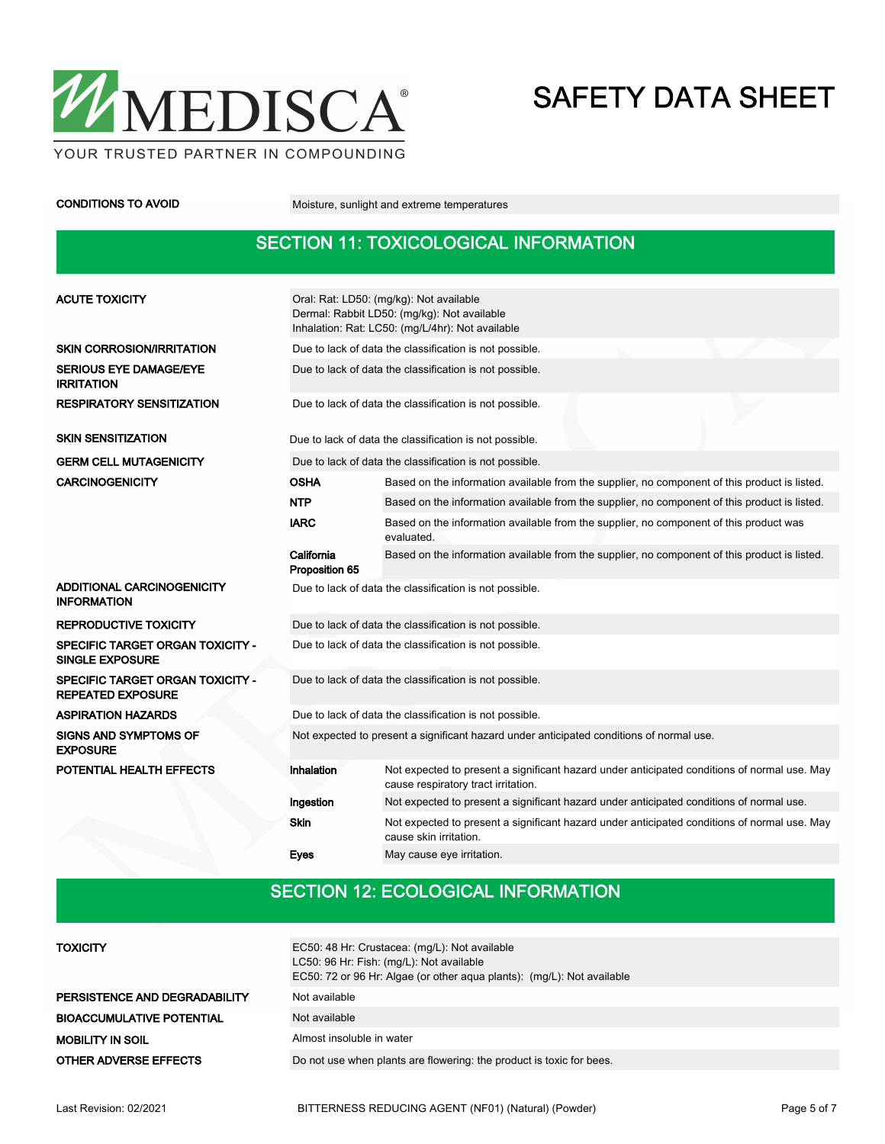

CONDITIONS TO AVOID Moisture, sunlight and extreme temperatures

### SECTION 11: TOXICOLOGICAL INFORMATION

| <b>ACUTE TOXICITY</b>                                        | Oral: Rat: LD50: (mg/kg): Not available<br>Dermal: Rabbit LD50: (mg/kg): Not available<br>Inhalation: Rat: LC50: (mg/L/4hr): Not available |                                                                                                                                     |  |  |  |  |  |  |
|--------------------------------------------------------------|--------------------------------------------------------------------------------------------------------------------------------------------|-------------------------------------------------------------------------------------------------------------------------------------|--|--|--|--|--|--|
| <b>SKIN CORROSION/IRRITATION</b>                             | Due to lack of data the classification is not possible.                                                                                    |                                                                                                                                     |  |  |  |  |  |  |
| <b>SERIOUS EYE DAMAGE/EYE</b><br><b>IRRITATION</b>           | Due to lack of data the classification is not possible.                                                                                    |                                                                                                                                     |  |  |  |  |  |  |
| <b>RESPIRATORY SENSITIZATION</b>                             | Due to lack of data the classification is not possible.                                                                                    |                                                                                                                                     |  |  |  |  |  |  |
| <b>SKIN SENSITIZATION</b>                                    |                                                                                                                                            | Due to lack of data the classification is not possible.                                                                             |  |  |  |  |  |  |
| <b>GERM CELL MUTAGENICITY</b>                                |                                                                                                                                            | Due to lack of data the classification is not possible.                                                                             |  |  |  |  |  |  |
| <b>CARCINOGENICITY</b>                                       | OSHA                                                                                                                                       | Based on the information available from the supplier, no component of this product is listed.                                       |  |  |  |  |  |  |
|                                                              | <b>NTP</b>                                                                                                                                 | Based on the information available from the supplier, no component of this product is listed.                                       |  |  |  |  |  |  |
|                                                              | <b>IARC</b>                                                                                                                                | Based on the information available from the supplier, no component of this product was<br>evaluated.                                |  |  |  |  |  |  |
|                                                              | California<br>Based on the information available from the supplier, no component of this product is listed.<br>Proposition 65              |                                                                                                                                     |  |  |  |  |  |  |
| ADDITIONAL CARCINOGENICITY<br><b>INFORMATION</b>             |                                                                                                                                            | Due to lack of data the classification is not possible.                                                                             |  |  |  |  |  |  |
| <b>REPRODUCTIVE TOXICITY</b>                                 | Due to lack of data the classification is not possible.                                                                                    |                                                                                                                                     |  |  |  |  |  |  |
| SPECIFIC TARGET ORGAN TOXICITY -<br><b>SINGLE EXPOSURE</b>   | Due to lack of data the classification is not possible.                                                                                    |                                                                                                                                     |  |  |  |  |  |  |
| SPECIFIC TARGET ORGAN TOXICITY -<br><b>REPEATED EXPOSURE</b> | Due to lack of data the classification is not possible.                                                                                    |                                                                                                                                     |  |  |  |  |  |  |
| <b>ASPIRATION HAZARDS</b>                                    |                                                                                                                                            | Due to lack of data the classification is not possible.                                                                             |  |  |  |  |  |  |
| <b>SIGNS AND SYMPTOMS OF</b><br><b>EXPOSURE</b>              | Not expected to present a significant hazard under anticipated conditions of normal use.                                                   |                                                                                                                                     |  |  |  |  |  |  |
| POTENTIAL HEALTH EFFECTS                                     | <b>Inhalation</b>                                                                                                                          | Not expected to present a significant hazard under anticipated conditions of normal use. May<br>cause respiratory tract irritation. |  |  |  |  |  |  |
|                                                              | Ingestion                                                                                                                                  | Not expected to present a significant hazard under anticipated conditions of normal use.                                            |  |  |  |  |  |  |
|                                                              | <b>Skin</b>                                                                                                                                | Not expected to present a significant hazard under anticipated conditions of normal use. May<br>cause skin irritation.              |  |  |  |  |  |  |
|                                                              | Eyes                                                                                                                                       | May cause eye irritation.                                                                                                           |  |  |  |  |  |  |

### SECTION 12: ECOLOGICAL INFORMATION

| <b>TOXICITY</b>                  | EC50: 48 Hr: Crustacea: (mg/L): Not available<br>LC50: 96 Hr: Fish: (mg/L): Not available<br>EC50: 72 or 96 Hr: Algae (or other agua plants): (mg/L): Not available |  |  |  |  |
|----------------------------------|---------------------------------------------------------------------------------------------------------------------------------------------------------------------|--|--|--|--|
| PERSISTENCE AND DEGRADABILITY    | Not available                                                                                                                                                       |  |  |  |  |
| <b>BIOACCUMULATIVE POTENTIAL</b> | Not available                                                                                                                                                       |  |  |  |  |
| <b>MOBILITY IN SOIL</b>          | Almost insoluble in water                                                                                                                                           |  |  |  |  |
| <b>OTHER ADVERSE EFFECTS</b>     | Do not use when plants are flowering: the product is toxic for bees.                                                                                                |  |  |  |  |
|                                  |                                                                                                                                                                     |  |  |  |  |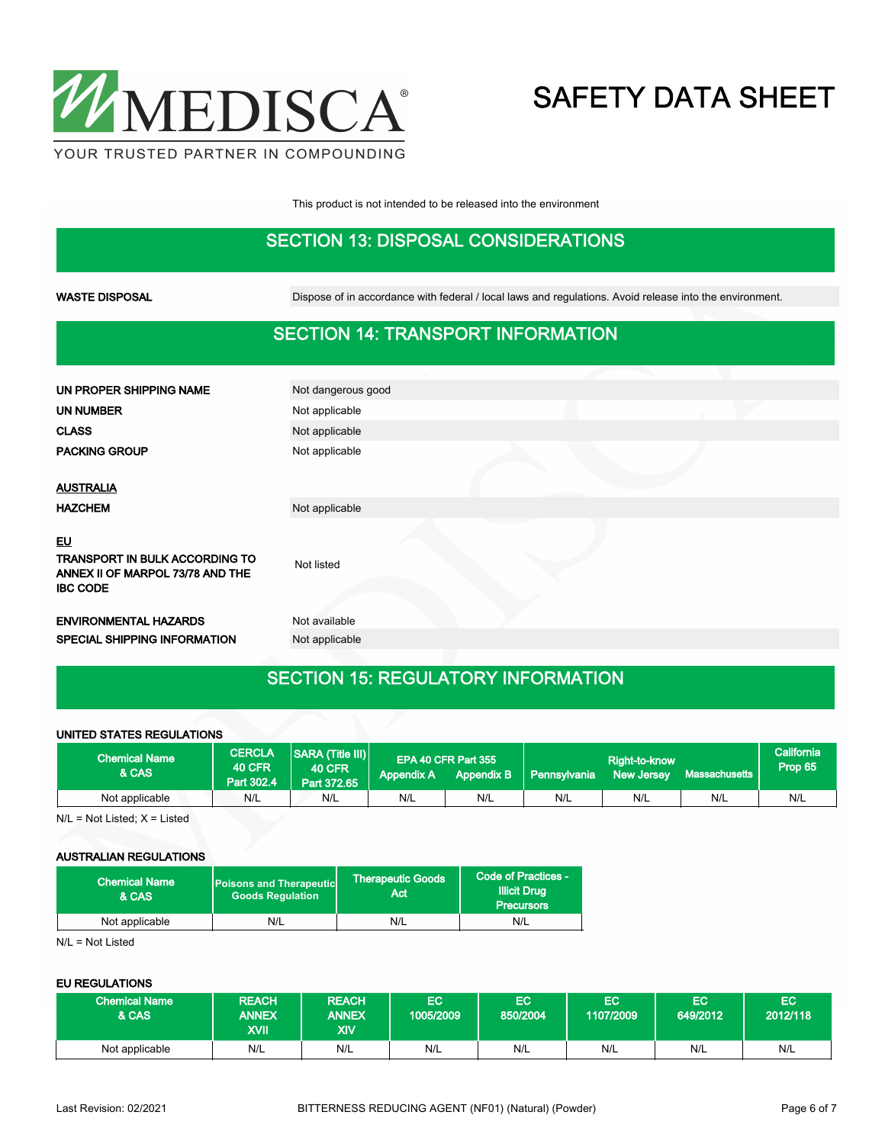

This product is not intended to be released into the environment

### SECTION 13: DISPOSAL CONSIDERATIONS

WASTE DISPOSAL Dispose of in accordance with federal / local laws and regulations. Avoid release into the environment.

#### SECTION 14: TRANSPORT INFORMATION

| UN PROPER SHIPPING NAME                                                                     | Not dangerous good |  |  |
|---------------------------------------------------------------------------------------------|--------------------|--|--|
| <b>UN NUMBER</b>                                                                            | Not applicable     |  |  |
| <b>CLASS</b>                                                                                | Not applicable     |  |  |
| <b>PACKING GROUP</b>                                                                        | Not applicable     |  |  |
| <b>AUSTRALIA</b>                                                                            |                    |  |  |
| <b>HAZCHEM</b>                                                                              | Not applicable     |  |  |
| EU<br>TRANSPORT IN BULK ACCORDING TO<br>ANNEX II OF MARPOL 73/78 AND THE<br><b>IBC CODE</b> | Not listed         |  |  |
| <b>ENVIRONMENTAL HAZARDS</b>                                                                | Not available      |  |  |
| SPECIAL SHIPPING INFORMATION                                                                | Not applicable     |  |  |
|                                                                                             |                    |  |  |

#### SECTION 15: REGULATORY INFORMATION

#### UNITED STATES REGULATIONS

| <b>Chemical Name</b><br>& CAS | <b>CERCLA</b><br><b>40 CFR</b><br>Part 302.4 | SARA (Title III)<br><b>40 CFR</b><br>Part 372.65 | <b>Appendix A</b> | EPA 40 CFR Part 355<br>Appendix B | Pennsylvania | Right-to-know<br><b>New Jersey</b> | l Massachusetts , | <b>California</b><br>Prop 65 |
|-------------------------------|----------------------------------------------|--------------------------------------------------|-------------------|-----------------------------------|--------------|------------------------------------|-------------------|------------------------------|
| Not applicable                | N/L                                          | N/L                                              | N/L               | N/L                               | N/L          | N/L                                | N/L               | N/L                          |

 $N/L = Not$  Listed;  $X =$  Listed

#### AUSTRALIAN REGULATIONS

| <b>Chemical Name</b><br>& CAS | <b>Poisons and Therapeutic</b><br><b>Goods Requlation</b> | <b>Therapeutic Goods</b><br>Act | Code of Practices -<br><b>Illicit Drug</b><br><b>Precursors</b> |  |
|-------------------------------|-----------------------------------------------------------|---------------------------------|-----------------------------------------------------------------|--|
| Not applicable                | N/L                                                       | N/L                             | N/L                                                             |  |

N/L = Not Listed

#### EU REGULATIONS

| <b>Chemical Name</b><br>& CAS | <b>REACH</b><br><b>ANNEX</b><br>XVII. | <b>REACH</b><br><b>ANNEX</b><br>XIV | EC<br>1005/2009 | EC)<br>1850/2004 | EС<br>1107/2009 | EC<br>649/2012 | EC<br>12012/118 |
|-------------------------------|---------------------------------------|-------------------------------------|-----------------|------------------|-----------------|----------------|-----------------|
| Not applicable                | N/L                                   | N/L                                 | N/L             | N/L              | N/L             | N/L            | N/L             |